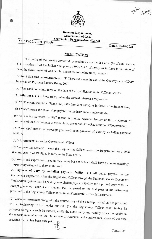

**Revenue Department, Government of Goa, Secretariat, Porvorim-Goa 403 521**<br>No. 35/4/2017-RD 8674

**Dated: 28/09/2021** 

 $1876$  45%

## **NOTIFICATION**

In exercise of the powers conferred by section 75 read with clause (b) of sub- section e State of  $\sim$   $\sim$   $\sim$  section 10 of the Indian Stamp Act, 1899 (Act 2 of 1899), as in force in the section Goa, the Government of Goa hereby makes the following rules, namely :-

1. **Short title and commencement.** by e-challan Payment Facility Rules, 2021

(2) They shall come into force on the date of their publication in the Official Gazette.

**2. Definitions.-**  $(1)$  In these rules, unless the context otherwise requires,

(a)  $\sim$  means the Indian Stamp Act, 1899 (Act 2 of 1899), as in force in the State of Goa;

(b)  $\frac{d}{dx}$  includes the stamp duty payable on the instruments under the Act;

(c) "e- challan payment facility- means the online payment facility of the Directorate of Accounts of the Government as available on the portal of the Registration of Government;

 $(d)$  " e-receipt means an e-receipt generated upon payment of duty by e-challan area facility;  $\sum_{n=1}^{\infty}$  facility;

(e) "Government" mean the Government of Goa;

(f) Engineering Officer" means the Registering Officer under the Registration Act, 1908 (Central Act 16 of 1908), as in force in the State of Goa.

(2) Words and expressions used in these rules but not defined shall have the same meanings respectively assigned to them in the Act.

3. **Payment of duty by e-challan payment facility.-**  (1) All duties payable on the instruments registered before the Registering Officer through the National Generic Document Registration System may be paid by an e-challan payment facility and a printed copy of the ereceipt generated upon such payment shall be pasted on the first page of the instrument presented to the Registering Officer at the time of registration of such instrument.

(2) When an instrument along with the printed copy of the e-receipt pasted on it is presented to the Registering Officer under sub-rule (1). the Registering Officer shall, before he proceeds to register such instrument, verify the authenticity and validity of such e-receipt in the records maintained by the Directorate of Accounts and confirm that whole of the duty specified therein has been duly paid.